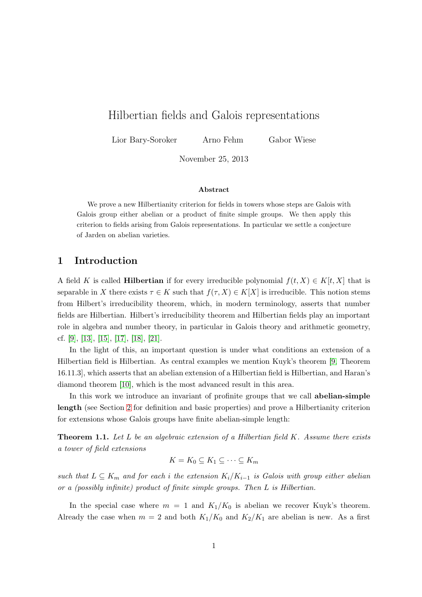# Hilbertian fields and Galois representations

Lior Bary-Soroker Arno Fehm Gabor Wiese

November 25, 2013

### Abstract

We prove a new Hilbertianity criterion for fields in towers whose steps are Galois with Galois group either abelian or a product of finite simple groups. We then apply this criterion to fields arising from Galois representations. In particular we settle a conjecture of Jarden on abelian varieties.

### 1 Introduction

A field K is called **Hilbertian** if for every irreducible polynomial  $f(t, X) \in K[t, X]$  that is separable in X there exists  $\tau \in K$  such that  $f(\tau, X) \in K[X]$  is irreducible. This notion stems from Hilbert's irreducibility theorem, which, in modern terminology, asserts that number fields are Hilbertian. Hilbert's irreducibility theorem and Hilbertian fields play an important role in algebra and number theory, in particular in Galois theory and arithmetic geometry, cf. [\[9\]](#page-17-0), [\[13\]](#page-17-1), [\[15\]](#page-17-2), [\[17\]](#page-17-3), [\[18\]](#page-17-4), [\[21\]](#page-17-5).

In the light of this, an important question is under what conditions an extension of a Hilbertian field is Hilbertian. As central examples we mention Kuyk's theorem [\[9,](#page-17-0) Theorem 16.11.3], which asserts that an abelian extension of a Hilbertian field is Hilbertian, and Haran's diamond theorem [\[10\]](#page-17-6), which is the most advanced result in this area.

In this work we introduce an invariant of profinite groups that we call abelian-simple length (see Section [2](#page-2-0) for definition and basic properties) and prove a Hilbertianity criterion for extensions whose Galois groups have finite abelian-simple length:

<span id="page-0-0"></span>**Theorem 1.1.** Let L be an algebraic extension of a Hilbertian field K. Assume there exists a tower of field extensions

$$
K = K_0 \subseteq K_1 \subseteq \cdots \subseteq K_m
$$

such that  $L \subseteq K_m$  and for each i the extension  $K_i/K_{i-1}$  is Galois with group either abelian or a (possibly infinite) product of finite simple groups. Then L is Hilbertian.

In the special case where  $m = 1$  and  $K_1/K_0$  is abelian we recover Kuyk's theorem. Already the case when  $m = 2$  and both  $K_1/K_0$  and  $K_2/K_1$  are abelian is new. As a first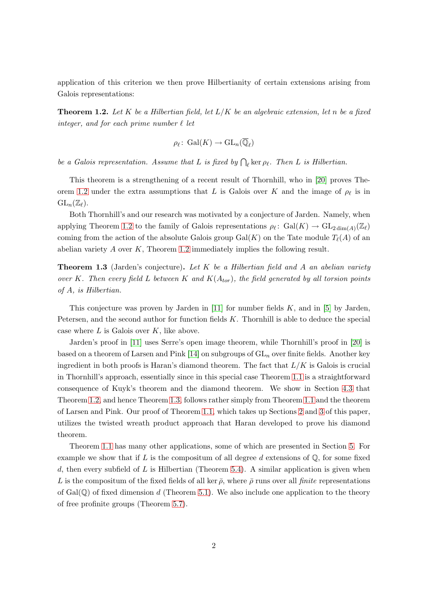<span id="page-1-0"></span>application of this criterion we then prove Hilbertianity of certain extensions arising from Galois representations:

**Theorem 1.2.** Let K be a Hilbertian field, let  $L/K$  be an algebraic extension, let n be a fixed integer, and for each prime number  $\ell$  let

$$
\rho_{\ell} \colon \operatorname{Gal}(K) \to \operatorname{GL}_n(\overline{\mathbb{Q}}_{\ell})
$$

be a Galois representation. Assume that L is fixed by  $\bigcap_{\ell}$  ker  $\rho_{\ell}$ . Then L is Hilbertian.

This theorem is a strengthening of a recent result of Thornhill, who in [\[20\]](#page-17-7) proves The-orem [1.2](#page-1-0) under the extra assumptions that L is Galois over K and the image of  $\rho_{\ell}$  is in  $GL_n(\mathbb{Z}_\ell).$ 

Both Thornhill's and our research was motivated by a conjecture of Jarden. Namely, when applying Theorem [1.2](#page-1-0) to the family of Galois representations  $\rho_{\ell} \colon \text{Gal}(K) \to \text{GL}_{2 \dim(A)}(\mathbb{Z}_{\ell})$ coming from the action of the absolute Galois group  $Gal(K)$  on the Tate module  $T_{\ell}(A)$  of an abelian variety  $A$  over  $K$ , Theorem [1.2](#page-1-0) immediately implies the following result.

<span id="page-1-1"></span>**Theorem 1.3** (Jarden's conjecture). Let  $K$  be a Hilbertian field and  $A$  an abelian variety over K. Then every field L between K and  $K(A_{tor})$ , the field generated by all torsion points of A, is Hilbertian.

This conjecture was proven by Jarden in  $[11]$  for number fields K, and in [\[5\]](#page-16-0) by Jarden, Petersen, and the second author for function fields K. Thornhill is able to deduce the special case where  $L$  is Galois over  $K$ , like above.

Jarden's proof in [\[11\]](#page-17-8) uses Serre's open image theorem, while Thornhill's proof in [\[20\]](#page-17-7) is based on a theorem of Larsen and Pink [\[14\]](#page-17-9) on subgroups of  $GL_n$  over finite fields. Another key ingredient in both proofs is Haran's diamond theorem. The fact that  $L/K$  is Galois is crucial in Thornhill's approach, essentially since in this special case Theorem [1.1](#page-0-0) is a straightforward consequence of Kuyk's theorem and the diamond theorem. We show in Section [4.3](#page-12-0) that Theorem [1.2,](#page-1-0) and hence Theorem [1.3,](#page-1-1) follows rather simply from Theorem [1.1](#page-0-0) and the theorem of Larsen and Pink. Our proof of Theorem [1.1,](#page-0-0) which takes up Sections [2](#page-2-0) and [3](#page-8-0) of this paper, utilizes the twisted wreath product approach that Haran developed to prove his diamond theorem.

Theorem [1.1](#page-0-0) has many other applications, some of which are presented in Section [5.](#page-13-0) For example we show that if L is the compositum of all degree d extensions of  $\mathbb{Q}$ , for some fixed d, then every subfield of L is Hilbertian (Theorem [5.4\)](#page-14-0). A similar application is given when L is the compositum of the fixed fields of all ker  $\bar{\rho}$ , where  $\bar{\rho}$  runs over all finite representations of  $Gal(\mathbb{Q})$  of fixed dimension d (Theorem [5.1\)](#page-13-1). We also include one application to the theory of free profinite groups (Theorem [5.7\)](#page-15-0).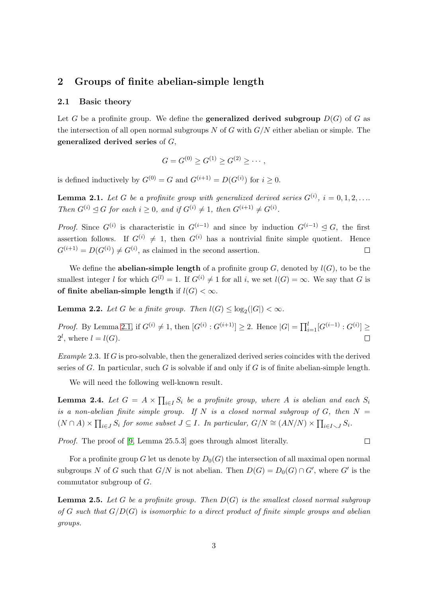# <span id="page-2-0"></span>2 Groups of finite abelian-simple length

### 2.1 Basic theory

Let G be a profinite group. We define the **generalized derived subgroup**  $D(G)$  of G as the intersection of all open normal subgroups N of G with  $G/N$  either abelian or simple. The generalized derived series of G,

$$
G = G^{(0)} \ge G^{(1)} \ge G^{(2)} \ge \cdots,
$$

<span id="page-2-1"></span>is defined inductively by  $G^{(0)} = G$  and  $G^{(i+1)} = D(G^{(i)})$  for  $i \geq 0$ .

**Lemma 2.1.** Let G be a profinite group with generalized derived series  $G^{(i)}$ ,  $i = 0, 1, 2, \ldots$ Then  $G^{(i)} \trianglelefteq G$  for each  $i \geq 0$ , and if  $G^{(i)} \neq 1$ , then  $G^{(i+1)} \neq G^{(i)}$ .

*Proof.* Since  $G^{(i)}$  is characteristic in  $G^{(i-1)}$  and since by induction  $G^{(i-1)} \leq G$ , the first assertion follows. If  $G^{(i)} \neq 1$ , then  $G^{(i)}$  has a nontrivial finite simple quotient. Hence  $G^{(i+1)} = D(G^{(i)}) \neq G^{(i)}$ , as claimed in the second assertion.  $\Box$ 

We define the **abelian-simple length** of a profinite group  $G$ , denoted by  $l(G)$ , to be the smallest integer l for which  $G^{(l)} = 1$ . If  $G^{(i)} \neq 1$  for all i, we set  $l(G) = \infty$ . We say that G is of finite abelian-simple length if  $l(G) < \infty$ .

<span id="page-2-4"></span>**Lemma 2.2.** Let G be a finite group. Then  $l(G) \leq \log_2(|G|) < \infty$ .

*Proof.* By Lemma [2.1,](#page-2-1) if  $G^{(i)} \neq 1$ , then  $[G^{(i)} : G^{(i+1)}] \geq 2$ . Hence  $|G| = \prod_{i=1}^{l} [G^{(i-1)} : G^{(i)}] \geq 1$  $2^l$ , where  $l = l(G)$ .  $\Box$ 

Example 2.3. If G is pro-solvable, then the generalized derived series coincides with the derived series of G. In particular, such G is solvable if and only if G is of finite abelian-simple length.

We will need the following well-known result.

<span id="page-2-3"></span>**Lemma 2.4.** Let  $G = A \times \prod_{i \in I} S_i$  be a profinite group, where A is abelian and each  $S_i$ is a non-abelian finite simple group. If N is a closed normal subgroup of G, then  $N =$  $(N \cap A) \times \prod_{i \in J} S_i$  for some subset  $J \subseteq I$ . In particular,  $G/N \cong (AN/N) \times \prod_{i \in I \setminus J} S_i$ .

Proof. The proof of [\[9,](#page-17-0) Lemma 25.5.3] goes through almost literally.

For a profinite group G let us denote by  $D_0(G)$  the intersection of all maximal open normal subgroups N of G such that  $G/N$  is not abelian. Then  $D(G) = D_0(G) \cap G'$ , where G' is the commutator subgroup of G.

<span id="page-2-2"></span>**Lemma 2.5.** Let G be a profinite group. Then  $D(G)$  is the smallest closed normal subgroup of G such that  $G/D(G)$  is isomorphic to a direct product of finite simple groups and abelian groups.

 $\Box$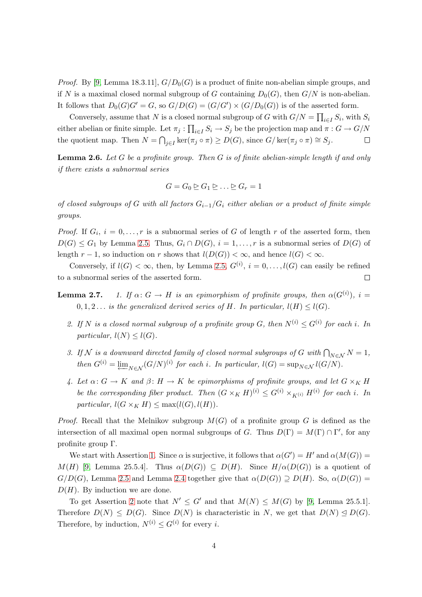*Proof.* By [\[9,](#page-17-0) Lemma 18.3.11],  $G/D_0(G)$  is a product of finite non-abelian simple groups, and if N is a maximal closed normal subgroup of G containing  $D_0(G)$ , then  $G/N$  is non-abelian. It follows that  $D_0(G)G' = G$ , so  $G/D(G) = (G/G') \times (G/D_0(G))$  is of the asserted form.

Conversely, assume that N is a closed normal subgroup of G with  $G/N = \prod_{i \in I} S_i$ , with  $S_i$ either abelian or finite simple. Let  $\pi_j: \prod_{i \in I} S_i \to S_j$  be the projection map and  $\pi: G \to G/N$ the quotient map. Then  $N = \bigcap_{j \in I} \ker(\pi_j \circ \pi) \ge D(G)$ , since  $G/\ker(\pi_j \circ \pi) \cong S_j$ .  $\Box$ 

<span id="page-3-5"></span>**Lemma 2.6.** Let G be a profinite group. Then G is of finite abelian-simple length if and only if there exists a subnormal series

$$
G = G_0 \trianglerighteq G_1 \trianglerighteq \ldots \trianglerighteq G_r = 1
$$

of closed subgroups of G with all factors  $G_{i-1}/G_i$  either abelian or a product of finite simple groups.

*Proof.* If  $G_i$ ,  $i = 0, \ldots, r$  is a subnormal series of G of length r of the asserted form, then  $D(G) \leq G_1$  by Lemma [2.5.](#page-2-2) Thus,  $G_i \cap D(G)$ ,  $i = 1, \ldots, r$  is a subnormal series of  $D(G)$  of length  $r-1$ , so induction on r shows that  $l(D(G)) < \infty$ , and hence  $l(G) < \infty$ .

<span id="page-3-4"></span><span id="page-3-0"></span>Conversely, if  $l(G) < \infty$ , then, by Lemma [2.5,](#page-2-2)  $G^{(i)}$ ,  $i = 0, \ldots, l(G)$  can easily be refined to a subnormal series of the asserted form.  $\Box$ 

- <span id="page-3-2"></span><span id="page-3-1"></span>**Lemma 2.7.** 1. If  $\alpha: G \to H$  is an epimorphism of profinite groups, then  $\alpha(G^{(i)})$ ,  $i =$  $0, 1, 2...$  is the generalized derived series of H. In particular,  $l(H) \leq l(G)$ .
	- 2. If N is a closed normal subgroup of a profinite group G, then  $N^{(i)} \n\t\leq G^{(i)}$  for each i. In particular,  $l(N) \leq l(G)$ .
	- 3. If N is a downward directed family of closed normal subgroups of G with  $\bigcap_{N\in\mathcal{N}}N=1$ , then  $G^{(i)} = \lim_{N \in \mathcal{N}} (G/N)^{(i)}$  for each i. In particular,  $l(G) = \sup_{N \in \mathcal{N}} l(G/N)$ .
	- 4. Let  $\alpha: G \to K$  and  $\beta: H \to K$  be epimorphisms of profinite groups, and let  $G \times_K H$ be the corresponding fiber product. Then  $(G \times_K H)^{(i)} \leq G^{(i)} \times_{K^{(i)}} H^{(i)}$  for each i. In particular,  $l(G \times_K H) \leq \max(l(G), l(H)).$

<span id="page-3-3"></span>*Proof.* Recall that the Melnikov subgroup  $M(G)$  of a profinite group G is defined as the intersection of all maximal open normal subgroups of G. Thus  $D(\Gamma) = M(\Gamma) \cap \Gamma'$ , for any profinite group Γ.

We start with Assertion [1.](#page-3-0) Since  $\alpha$  is surjective, it follows that  $\alpha(G') = H'$  and  $\alpha(M(G)) =$  $M(H)$  [\[9,](#page-17-0) Lemma 25.5.4]. Thus  $\alpha(D(G)) \subseteq D(H)$ . Since  $H/\alpha(D(G))$  is a quotient of  $G/D(G)$ , Lemma [2.5](#page-2-2) and Lemma [2.4](#page-2-3) together give that  $\alpha(D(G)) \supset D(H)$ . So,  $\alpha(D(G)) =$  $D(H)$ . By induction we are done.

To get Assertion [2](#page-3-1) note that  $N' \leq G'$  and that  $M(N) \leq M(G)$  by [\[9,](#page-17-0) Lemma 25.5.1]. Therefore  $D(N) \leq D(G)$ . Since  $D(N)$  is characteristic in N, we get that  $D(N) \leq D(G)$ . Therefore, by induction,  $N^{(i)} \leq G^{(i)}$  for every *i*.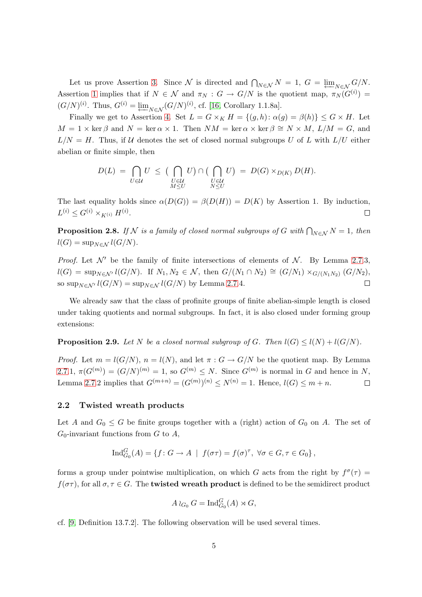Let us prove Assertion [3.](#page-3-2) Since N is directed and  $\bigcap_{N\in\mathcal{N}}N=1, G=\varprojlim_{N\in\mathcal{N}}G/N$ . Assertion [1](#page-3-0) implies that if  $N \in \mathcal{N}$  and  $\pi_N : G \to G/N$  is the quotient map,  $\pi_N(G^{(i)}) =$  $(G/N)^{(i)}$ . Thus,  $G^{(i)} = \underleftarrow{\lim}_{N \in \mathcal{N}} (G/N)^{(i)}$ , cf. [\[16,](#page-17-10) Corollary 1.1.8a].

Finally we get to Assertion [4.](#page-3-3) Set  $L = G \times_K H = \{(g, h): \alpha(g) = \beta(h)\} \leq G \times H$ . Let  $M = 1 \times \ker \beta$  and  $N = \ker \alpha \times 1$ . Then  $NM = \ker \alpha \times \ker \beta \cong N \times M$ ,  $L/M = G$ , and  $L/N = H$ . Thus, if U denotes the set of closed normal subgroups U of L with  $L/U$  either abelian or finite simple, then

$$
D(L) = \bigcap_{U \in \mathcal{U}} U \leq \big( \bigcap_{\substack{U \in \mathcal{U} \\ M \leq U}} U \big) \cap \big( \bigcap_{\substack{U \in \mathcal{U} \\ N \leq U}} U \big) = D(G) \times_{D(K)} D(H).
$$

The last equality holds since  $\alpha(D(G)) = \beta(D(H)) = D(K)$  by Assertion 1. By induction,  $L^{(i)} \leq G^{(i)} \times_{K^{(i)}} H^{(i)}$ .  $\Box$ 

<span id="page-4-2"></span>**Proposition 2.8.** If  $N$  is a family of closed normal subgroups of G with  $\bigcap_{N\in\mathcal{N}}N=1$ , then  $l(G) = \sup_{N \in \mathcal{N}} l(G/N).$ 

*Proof.* Let  $\mathcal{N}'$  be the family of finite intersections of elements of  $\mathcal{N}$ . By Lemma [2.7.](#page-3-4)3,  $l(G) = \sup_{N \in \mathcal{N}'} l(G/N)$ . If  $N_1, N_2 \in \mathcal{N}$ , then  $G/(N_1 \cap N_2) \cong (G/N_1) \times_{G/(N_1N_2)} (G/N_2)$ , so sup<sub>N∈N'</sub>  $l(G/N)$  = sup<sub>N∈N</sub>  $l(G/N)$  by Lemma [2.7.](#page-3-4)4.  $\Box$ 

<span id="page-4-1"></span>We already saw that the class of profinite groups of finite abelian-simple length is closed under taking quotients and normal subgroups. In fact, it is also closed under forming group extensions:

**Proposition 2.9.** Let N be a closed normal subgroup of G. Then  $l(G) \leq l(N) + l(G/N)$ .

*Proof.* Let  $m = l(G/N)$ ,  $n = l(N)$ , and let  $\pi : G \to G/N$  be the quotient map. By Lemma [2.7.](#page-3-4)1,  $\pi(G^{(m)}) = (G/N)^{(m)} = 1$ , so  $G^{(m)} \leq N$ . Since  $G^{(m)}$  is normal in G and hence in N, Lemma [2.7.](#page-3-4)2 implies that  $G^{(m+n)} = (G^{(m)})^{(n)} \le N^{(n)} = 1$ . Hence,  $l(G) \le m + n$ .  $\Box$ 

### 2.2 Twisted wreath products

Let A and  $G_0 \leq G$  be finite groups together with a (right) action of  $G_0$  on A. The set of  $G_0$ -invariant functions from G to A,

$$
\operatorname{Ind}_{G_0}^G(A) = \{ f \colon G \to A \mid f(\sigma \tau) = f(\sigma)^\tau, \forall \sigma \in G, \tau \in G_0 \},
$$

forms a group under pointwise multiplication, on which G acts from the right by  $f^{\sigma}(\tau) =$  $f(\sigma\tau)$ , for all  $\sigma, \tau \in G$ . The **twisted wreath product** is defined to be the semidirect product

$$
A\wr_{G_0} G=\operatorname{Ind}_{G_0}^G(A)\rtimes G,
$$

<span id="page-4-0"></span>cf. [\[9,](#page-17-0) Definition 13.7.2]. The following observation will be used several times.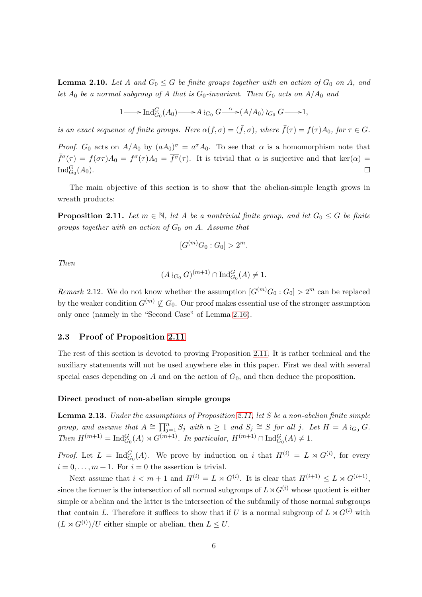**Lemma 2.10.** Let A and  $G_0 \leq G$  be finite groups together with an action of  $G_0$  on A, and let  $A_0$  be a normal subgroup of A that is  $G_0$ -invariant. Then  $G_0$  acts on  $A/A_0$  and

$$
1 \longrightarrow \operatorname{Ind}_{G_0}^G(A_0) \longrightarrow A \wr_{G_0} G \xrightarrow{\alpha} (A/A_0) \wr_{G_0} G \longrightarrow 1,
$$

is an exact sequence of finite groups. Here  $\alpha(f,\sigma)=(\bar{f},\sigma)$ , where  $\bar{f}(\tau)=f(\tau)A_0$ , for  $\tau\in G$ .

*Proof.*  $G_0$  acts on  $A/A_0$  by  $(aA_0)^\sigma = a^\sigma A_0$ . To see that  $\alpha$  is a homomorphism note that  $\bar{f}^{\sigma}(\tau) = f(\sigma \tau)A_0 = f^{\sigma}(\tau)A_0 = \bar{f}^{\sigma}(\tau)$ . It is trivial that  $\alpha$  is surjective and that ker $(\alpha)$  $\operatorname{Ind}_{G_0}^G(A_0).$  $\Box$ 

<span id="page-5-0"></span>The main objective of this section is to show that the abelian-simple length grows in wreath products:

**Proposition 2.11.** Let  $m \in \mathbb{N}$ , let A be a nontrivial finite group, and let  $G_0 \leq G$  be finite groups together with an action of  $G_0$  on A. Assume that

$$
[G^{(m)}G_0:G_0]>2^m.
$$

Then

$$
(A \wr_{G_0} G)^{(m+1)} \cap \mathrm{Ind}_{G_0}^G(A) \neq 1.
$$

Remark 2.12. We do not know whether the assumption  $[G^{(m)}G_0:G_0] > 2^m$  can be replaced by the weaker condition  $G^{(m)} \nsubseteq G_0$ . Our proof makes essential use of the stronger assumption only once (namely in the "Second Case" of Lemma [2.16\)](#page-7-0).

### 2.3 Proof of Proposition [2.11](#page-5-0)

The rest of this section is devoted to proving Proposition [2.11.](#page-5-0) It is rather technical and the auxiliary statements will not be used anywhere else in this paper. First we deal with several special cases depending on  $A$  and on the action of  $G_0$ , and then deduce the proposition.

### <span id="page-5-1"></span>Direct product of non-abelian simple groups

Lemma 2.13. Under the assumptions of Proposition [2.11,](#page-5-0) let S be a non-abelian finite simple group, and assume that  $A \cong \prod_{j=1}^n S_j$  with  $n \geq 1$  and  $S_j \cong S$  for all j. Let  $H = A \wr_{G_0} G$ . Then  $H^{(m+1)} = \text{Ind}_{G_0}^G(A) \rtimes G^{(m+1)}$ . In particular,  $H^{(m+1)} \cap \text{Ind}_{G_0}^G(A) \neq 1$ .

*Proof.* Let  $L = \text{Ind}_{G_0}^G(A)$ . We prove by induction on i that  $H^{(i)} = L \rtimes G^{(i)}$ , for every  $i = 0, \ldots, m + 1$ . For  $i = 0$  the assertion is trivial.

Next assume that  $i < m+1$  and  $H^{(i)} = L \rtimes G^{(i)}$ . It is clear that  $H^{(i+1)} \leq L \rtimes G^{(i+1)}$ , since the former is the intersection of all normal subgroups of  $L\rtimes G^{(i)}$  whose quotient is either simple or abelian and the latter is the intersection of the subfamily of those normal subgroups that contain L. Therefore it suffices to show that if U is a normal subgroup of  $L \rtimes G^{(i)}$  with  $(L \rtimes G^{(i)})/U$  either simple or abelian, then  $L \leq U$ .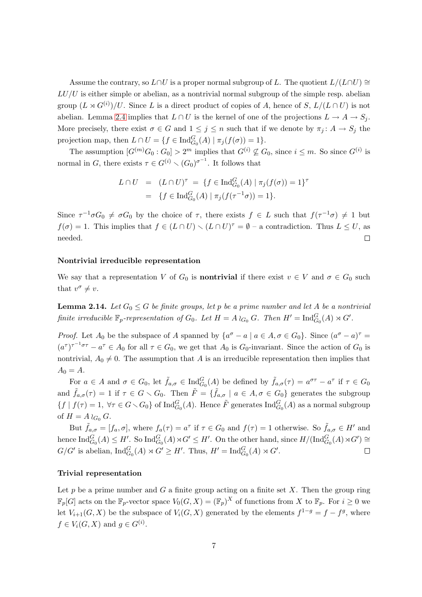Assume the contrary, so  $L \cap U$  is a proper normal subgroup of L. The quotient  $L/(L \cap U) \cong$  $LU/U$  is either simple or abelian, as a nontrivial normal subgroup of the simple resp. abelian group  $(L \rtimes G^{(i)})/U$ . Since L is a direct product of copies of A, hence of S,  $L/(L \cap U)$  is not abelian. Lemma [2.4](#page-2-3) implies that  $L \cap U$  is the kernel of one of the projections  $L \to A \to S_j$ . More precisely, there exist  $\sigma \in G$  and  $1 \leq j \leq n$  such that if we denote by  $\pi_j \colon A \to S_j$  the projection map, then  $L \cap U = \{ f \in \text{Ind}_{G_0}^G(A) \mid \pi_j(f(\sigma)) = 1 \}.$ 

The assumption  $[G^{(m)}G_0:G_0] > 2^m$  implies that  $G^{(i)} \nsubseteq G_0$ , since  $i \leq m$ . So since  $G^{(i)}$  is normal in G, there exists  $\tau \in G^{(i)} \setminus (G_0)^{\sigma^{-1}}$ . It follows that

$$
L \cap U = (L \cap U)^{\tau} = \{ f \in \text{Ind}_{G_0}^G(A) \mid \pi_j(f(\sigma)) = 1 \}^{\tau}
$$
  
= 
$$
\{ f \in \text{Ind}_{G_0}^G(A) \mid \pi_j(f(\tau^{-1}\sigma)) = 1 \}.
$$

Since  $\tau^{-1}\sigma G_0 \neq \sigma G_0$  by the choice of  $\tau$ , there exists  $f \in L$  such that  $f(\tau^{-1}\sigma) \neq 1$  but  $f(\sigma) = 1$ . This implies that  $f \in (L \cap U) \setminus (L \cap U)^{\tau} = \emptyset$  – a contradiction. Thus  $L \leq U$ , as needed.  $\Box$ 

#### Nontrivial irreducible representation

<span id="page-6-0"></span>We say that a representation V of  $G_0$  is **nontrivial** if there exist  $v \in V$  and  $\sigma \in G_0$  such that  $v^{\sigma} \neq v$ .

**Lemma 2.14.** Let  $G_0 \leq G$  be finite groups, let p be a prime number and let A be a nontrivial finite irreducible  $\mathbb{F}_p$ -representation of  $G_0$ . Let  $H = A \wr_{G_0} G$ . Then  $H' = \text{Ind}_{G_0}^G(A) \rtimes G'$ .

*Proof.* Let  $A_0$  be the subspace of A spanned by  $\{a^{\sigma} - a \mid a \in A, \sigma \in G_0\}$ . Since  $(a^{\sigma} - a)^{\tau} =$  $(a^{\tau})^{\tau^{-1}\sigma\tau} - a^{\tau} \in A_0$  for all  $\tau \in G_0$ , we get that  $A_0$  is  $G_0$ -invariant. Since the action of  $G_0$  is nontrivial,  $A_0 \neq 0$ . The assumption that A is an irreducible representation then implies that  $A_0 = A$ .

For  $a \in A$  and  $\sigma \in G_0$ , let  $\tilde{f}_{a,\sigma} \in \text{Ind}_{G_0}^G(A)$  be defined by  $\tilde{f}_{a,\sigma}(\tau) = a^{\sigma \tau} - a^{\tau}$  if  $\tau \in G_0$ and  $\tilde{f}_{a,\sigma}(\tau) = 1$  if  $\tau \in G \setminus G_0$ . Then  $\tilde{F} = \{\tilde{f}_{a,\sigma} \mid a \in A, \sigma \in G_0\}$  generates the subgroup  $\{f \mid f(\tau) = 1, \ \forall \tau \in G \setminus G_0\}$  of  $\text{Ind}_{G_0}^G(A)$ . Hence  $\tilde{F}$  generates  $\text{Ind}_{G_0}^G(A)$  as a normal subgroup of  $H = A \wr_{G_0} G$ .

But  $\tilde{f}_{a,\sigma} = [f_a, \sigma]$ , where  $f_a(\tau) = a^{\tau}$  if  $\tau \in G_0$  and  $f(\tau) = 1$  otherwise. So  $\tilde{f}_{a,\sigma} \in H'$  and hence  $\text{Ind}_{G_0}^G(A) \leq H'$ . So  $\text{Ind}_{G_0}^G(A) \rtimes G' \leq H'$ . On the other hand, since  $H/(\text{Ind}_{G_0}^G(A) \rtimes G') \cong$  $G/G'$  is abelian,  $\text{Ind}_{G_0}^G(A) \rtimes G' \ge H'$ . Thus,  $H' = \text{Ind}_{G_0}^G(A) \rtimes G'$ .  $\Box$ 

#### Trivial representation

<span id="page-6-1"></span>Let  $p$  be a prime number and  $G$  a finite group acting on a finite set  $X$ . Then the group ring  $\mathbb{F}_p[G]$  acts on the  $\mathbb{F}_p$ -vector space  $V_0(G, X) = (\mathbb{F}_p)^X$  of functions from X to  $\mathbb{F}_p$ . For  $i \geq 0$  we let  $V_{i+1}(G, X)$  be the subspace of  $V_i(G, X)$  generated by the elements  $f^{1-g} = f - f^g$ , where  $f \in V_i(G, X)$  and  $g \in G^{(i)}$ .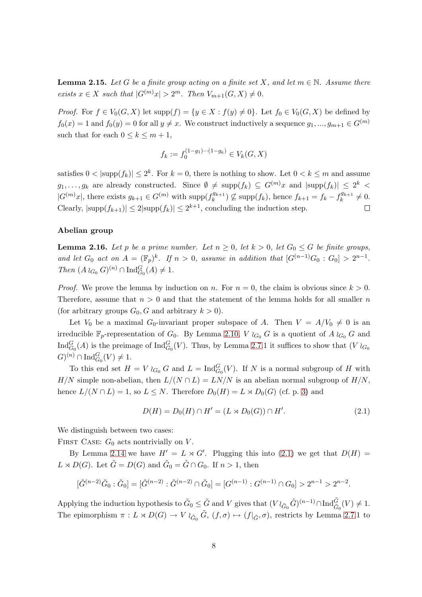**Lemma 2.15.** Let G be a finite group acting on a finite set X, and let  $m \in \mathbb{N}$ . Assume there exists  $x \in X$  such that  $|G^{(m)}x| > 2^m$ . Then  $V_{m+1}(G, X) \neq 0$ .

*Proof.* For  $f \in V_0(G, X)$  let  $supp(f) = \{y \in X : f(y) \neq 0\}$ . Let  $f_0 \in V_0(G, X)$  be defined by  $f_0(x) = 1$  and  $f_0(y) = 0$  for all  $y \neq x$ . We construct inductively a sequence  $g_1, ..., g_{m+1} \in G^{(m)}$ such that for each  $0 \leq k \leq m+1$ ,

$$
f_k := f_0^{(1-g_1)\cdots(1-g_k)} \in V_k(G, X)
$$

satisfies  $0 < |\text{supp}(f_k)| \le 2^k$ . For  $k = 0$ , there is nothing to show. Let  $0 < k \le m$  and assume  $g_1, \ldots, g_k$  are already constructed. Since  $\emptyset \neq \text{supp}(f_k) \subseteq G^{(m)}x$  and  $|\text{supp}(f_k)| \leq 2^k$  $|G^{(m)}x|$ , there exists  $g_{k+1} \in G^{(m)}$  with supp $(f_k^{g_{k+1}})$  $f_k^{g_{k+1}}$ )  $\nsubseteq$  supp $(f_k)$ , hence  $f_{k+1} = f_k - f_k^{g_{k+1}}$  $k^{9k+1} \neq 0.$ Clearly,  $|\text{supp}(f_{k+1})| \leq 2|\text{supp}(f_k)| \leq 2^{k+1}$ , concluding the induction step.  $\Box$ 

#### <span id="page-7-0"></span>Abelian group

**Lemma 2.16.** Let p be a prime number. Let  $n \geq 0$ , let  $k > 0$ , let  $G_0 \leq G$  be finite groups, and let  $G_0$  act on  $A = (\mathbb{F}_p)^k$ . If  $n > 0$ , assume in addition that  $[G^{(n-1)}G_0: G_0] > 2^{n-1}$ . Then  $(A \wr_{G_0} G)^{(n)} \cap \text{Ind}_{G_0}^G(A) \neq 1.$ 

*Proof.* We prove the lemma by induction on n. For  $n = 0$ , the claim is obvious since  $k > 0$ . Therefore, assume that  $n > 0$  and that the statement of the lemma holds for all smaller n (for arbitrary groups  $G_0$ , G and arbitrary  $k > 0$ ).

Let  $V_0$  be a maximal  $G_0$ -invariant proper subspace of A. Then  $V = A/V_0 \neq 0$  is an irreducible  $\mathbb{F}_p$ -representation of  $G_0$ . By Lemma [2.10,](#page-4-0) V  $\wr_{G_0} G$  is a quotient of A  $\wr_{G_0} G$  and  $\text{Ind}_{G_0}^G(A)$  is the preimage of  $\text{Ind}_{G_0}^G(V)$ . Thus, by Lemma [2.7.](#page-3-4)1 it suffices to show that  $(V \nvert_{G_0})$  $(G)^{(n)} \cap \text{Ind}_{G_0}^{G}(V) \neq 1.$ 

To this end set  $H = V \wr_{G_0} G$  and  $L = \text{Ind}_{G_0}^G(V)$ . If N is a normal subgroup of H with H/N simple non-abelian, then  $L/(N \cap L) = LN/N$  is an abelian normal subgroup of  $H/N$ , hence  $L/(N \cap L) = 1$ , so  $L \leq N$ . Therefore  $D_0(H) = L \rtimes D_0(G)$  (cf. p. [3\)](#page-2-3) and

<span id="page-7-1"></span>
$$
D(H) = D_0(H) \cap H' = (L \rtimes D_0(G)) \cap H'. \tag{2.1}
$$

We distinguish between two cases:

FIRST CASE:  $G_0$  acts nontrivially on V.

By Lemma [2.14](#page-6-0) we have  $H' = L \rtimes G'$ . Plugging this into [\(2.1\)](#page-7-1) we get that  $D(H) =$  $L \rtimes D(G)$ . Let  $\tilde{G} = D(G)$  and  $\tilde{G}_0 = \tilde{G} \cap G_0$ . If  $n > 1$ , then

$$
[\tilde{G}^{(n-2)}\tilde{G}_0 : \tilde{G}_0] = [\tilde{G}^{(n-2)} : \tilde{G}^{(n-2)} \cap \tilde{G}_0] = [G^{(n-1)} : G^{(n-1)} \cap G_0] > 2^{n-1} > 2^{n-2}.
$$

Applying the induction hypothesis to  $\tilde{G}_0 \leq \tilde{G}$  and V gives that  $(V \wr_{\tilde{G}_0} \tilde{G})^{(n-1)} \cap \text{Ind}_{\tilde{G}_0}^{\tilde{G}}(V) \neq 1$ . The epimorphism  $\pi: L \rtimes D(G) \to V \wr_{\tilde{G}_0} \tilde{G}, (f, \sigma) \mapsto (f|_{\tilde{G}}, \sigma)$ , restricts by Lemma [2.7.](#page-3-4)1 to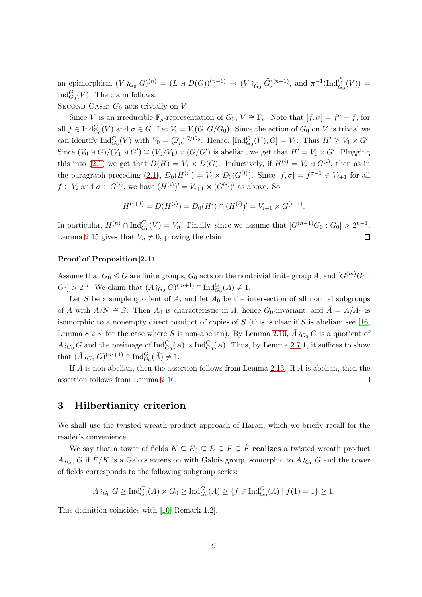an epimorphism  $(V \wr_{G_0} G)^{(n)} = (L \rtimes D(G))^{(n-1)} \rightarrow (V \wr_{\tilde{G}_0} \tilde{G})^{(n-1)}$ , and  $\pi^{-1}(\text{Ind}_{\tilde{G}_0}^{\tilde{G}}(V)) =$  $\text{Ind}_{G_0}^G(V)$ . The claim follows.

SECOND CASE:  $G_0$  acts trivially on V.

Since V is an irreducible  $\mathbb{F}_p$ -representation of  $G_0, V \cong \mathbb{F}_p$ . Note that  $[f, \sigma] = f^{\sigma} - f$ , for all  $f \in \text{Ind}_{G_0}^G(V)$  and  $\sigma \in G$ . Let  $V_i = V_i(G, G/G_0)$ . Since the action of  $G_0$  on V is trivial we can identify  $\text{Ind}_{G_0}^G(V)$  with  $V_0 = (\mathbb{F}_p)^{G/G_0}$ . Hence,  $[\text{Ind}_{G_0}^G(V), G] = V_1$ . Thus  $H' \geq V_1 \rtimes G'$ . Since  $(V_0 \rtimes G)/(V_1 \rtimes G') \cong (V_0/V_1) \times (G/G')$  is abelian, we get that  $H' = V_1 \rtimes G'$ . Plugging this into [\(2.1\)](#page-7-1) we get that  $D(H) = V_1 \rtimes D(G)$ . Inductively, if  $H^{(i)} = V_i \rtimes G^{(i)}$ , then as in the paragraph preceding  $(2.1)$ ,  $D_0(H^{(i)}) = V_i \rtimes D_0(G^{(i)})$ . Since  $[f, \sigma] = f^{\sigma-1} \in V_{i+1}$  for all  $f \in V_i$  and  $\sigma \in G^{(i)}$ , we have  $(H^{(i)})' = V_{i+1} \rtimes (G^{(i)})'$  as above. So

$$
H^{(i+1)} = D(H^{(i)}) = D_0(H^i) \cap (H^{(i)})' = V_{i+1} \rtimes G^{(i+1)}.
$$

In particular,  $H^{(n)} \cap \text{Ind}_{G_0}^G(V) = V_n$ . Finally, since we assume that  $[G^{(n-1)}G_0:G_0] > 2^{n-1}$ , Lemma [2.15](#page-6-1) gives that  $V_n \neq 0$ , proving the claim.  $\Box$ 

### Proof of Proposition [2.11](#page-5-0)

Assume that  $G_0 \leq G$  are finite groups,  $G_0$  acts on the nontrivial finite group A, and  $[G^{(m)}G_0:$  $G_0$  > 2<sup>m</sup>. We claim that  $(A \wr_{G_0} G)^{(m+1)} \cap \text{Ind}_{G_0}^G(A) \neq 1$ .

Let S be a simple quotient of A, and let  $A_0$  be the intersection of all normal subgroups of A with  $A/N \cong S$ . Then  $A_0$  is characteristic in A, hence  $G_0$ -invariant, and  $\overline{A} = A/A_0$  is isomorphic to a nonempty direct product of copies of  $S$  (this is clear if  $S$  is abelian; see [\[16,](#page-17-10) Lemma 8.2.3] for the case where S is non-abelian). By Lemma [2.10,](#page-4-0)  $\bar{A} \wr_{G_0} G$  is a quotient of  $A\wr_{G_0} G$  and the preimage of  $\text{Ind}_{G_0}^G(\bar{A})$  is  $\text{Ind}_{G_0}^G(A)$ . Thus, by Lemma [2.7.](#page-3-4)1, it suffices to show that  $(\bar{A} \wr_{G_0} G)^{(m+1)} \cap \text{Ind}_{G_0}^G (\bar{A}) \neq 1.$ 

If  $\bar{A}$  is non-abelian, then the assertion follows from Lemma [2.13.](#page-5-1) If  $\bar{A}$  is abelian, then the assertion follows from Lemma [2.16.](#page-7-0)  $\Box$ 

# <span id="page-8-0"></span>3 Hilbertianity criterion

We shall use the twisted wreath product approach of Haran, which we briefly recall for the reader's convenience.

We say that a tower of fields  $K \subseteq E_0 \subseteq E \subseteq F \subseteq \hat{F}$  realizes a twisted wreath product A  $\wr_{G_0} G$  if  $\hat{F}/K$  is a Galois extension with Galois group isomorphic to A  $\wr_{G_0} G$  and the tower of fields corresponds to the following subgroup series:

$$
A \wr_{G_0} G \ge \text{Ind}_{G_0}^G(A) \rtimes G_0 \ge \text{Ind}_{G_0}^G(A) \ge \{ f \in \text{Ind}_{G_0}^G(A) \mid f(1) = 1 \} \ge 1.
$$

<span id="page-8-1"></span>This definition coincides with [\[10,](#page-17-6) Remark 1.2].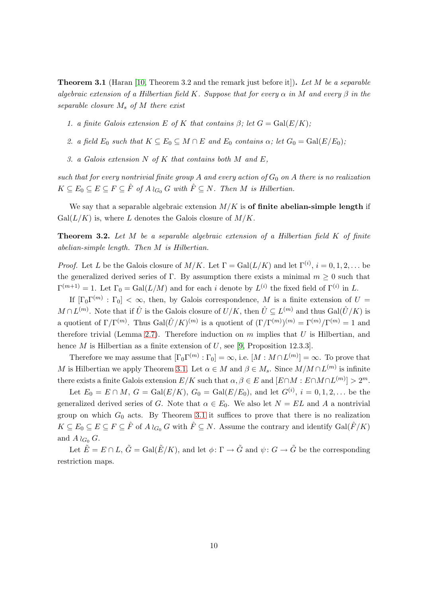**Theorem 3.1** (Haran [\[10,](#page-17-6) Theorem 3.2 and the remark just before it]). Let M be a separable algebraic extension of a Hilbertian field K. Suppose that for every  $\alpha$  in M and every  $\beta$  in the separable closure  $M_s$  of  $M$  there exist

1. a finite Galois extension E of K that contains  $\beta$ ; let  $G = \text{Gal}(E/K)$ ;

- 2. a field  $E_0$  such that  $K \subseteq E_0 \subseteq M \cap E$  and  $E_0$  contains  $\alpha$ ; let  $G_0 = \text{Gal}(E/E_0)$ ;
- 3. a Galois extension  $N$  of  $K$  that contains both  $M$  and  $E$ ,

such that for every nontrivial finite group A and every action of  $G_0$  on A there is no realization  $K \subseteq E_0 \subseteq E \subseteq F \subseteq \hat{F}$  of  $A \wr_{G_0} G$  with  $\hat{F} \subseteq N$ . Then M is Hilbertian.

<span id="page-9-0"></span>We say that a separable algebraic extension  $M/K$  is of finite abelian-simple length if  $Gal(L/K)$  is, where L denotes the Galois closure of  $M/K$ .

**Theorem 3.2.** Let M be a separable algebraic extension of a Hilbertian field  $K$  of finite abelian-simple length. Then M is Hilbertian.

*Proof.* Let L be the Galois closure of  $M/K$ . Let  $\Gamma = \text{Gal}(L/K)$  and let  $\Gamma^{(i)}$ ,  $i = 0, 1, 2, ...$  be the generalized derived series of Γ. By assumption there exists a minimal  $m \geq 0$  such that  $\Gamma^{(m+1)} = 1$ . Let  $\Gamma_0 = \text{Gal}(L/M)$  and for each i denote by  $L^{(i)}$  the fixed field of  $\Gamma^{(i)}$  in L.

If  $[\Gamma_0\Gamma^{(m)}:\Gamma_0]<\infty$ , then, by Galois correspondence, M is a finite extension of  $U=$  $M \cap L^{(m)}$ . Note that if  $\hat{U}$  is the Galois closure of  $U/K$ , then  $\hat{U} \subseteq L^{(m)}$  and thus  $Gal(\hat{U}/K)$  is a quotient of  $\Gamma/\Gamma^{(m)}$ . Thus  $Gal(\hat{U}/K)^{(m)}$  is a quotient of  $(\Gamma/\Gamma^{(m)})^{(m)} = \Gamma^{(m)}/\Gamma^{(m)} = 1$  and therefore trivial (Lemma [2.7\)](#page-3-4). Therefore induction on  $m$  implies that  $U$  is Hilbertian, and hence  $M$  is Hilbertian as a finite extension of  $U$ , see [\[9,](#page-17-0) Proposition 12.3.3].

Therefore we may assume that  $[\Gamma_0 \Gamma^{(m)} : \Gamma_0] = \infty$ , i.e.  $[M : M \cap L^{(m)}] = \infty$ . To prove that M is Hilbertian we apply Theorem [3.1.](#page-8-1) Let  $\alpha \in M$  and  $\beta \in M_s$ . Since  $M/M \cap L^{(m)}$  is infinite there exists a finite Galois extension  $E/K$  such that  $\alpha, \beta \in E$  and  $[E \cap M : E \cap M \cap L^{(m)}] > 2^m$ .

Let  $E_0 = E \cap M$ ,  $G = \text{Gal}(E/K)$ ,  $G_0 = \text{Gal}(E/E_0)$ , and let  $G^{(i)}$ ,  $i = 0, 1, 2, ...$  be the generalized derived series of G. Note that  $\alpha \in E_0$ . We also let  $N = EL$  and A a nontrivial group on which  $G_0$  acts. By Theorem [3.1](#page-8-1) it suffices to prove that there is no realization  $K \subseteq E_0 \subseteq E \subseteq F \subseteq \hat{F}$  of  $A \wr_{G_0} G$  with  $\hat{F} \subseteq N$ . Assume the contrary and identify  $Gal(\hat{F}/K)$ and  $A \wr_{G_0} G$ .

Let  $\tilde{E} = E \cap L$ ,  $\tilde{G} = \text{Gal}(\tilde{E}/K)$ , and let  $\phi \colon \Gamma \to \tilde{G}$  and  $\psi \colon G \to \tilde{G}$  be the corresponding restriction maps.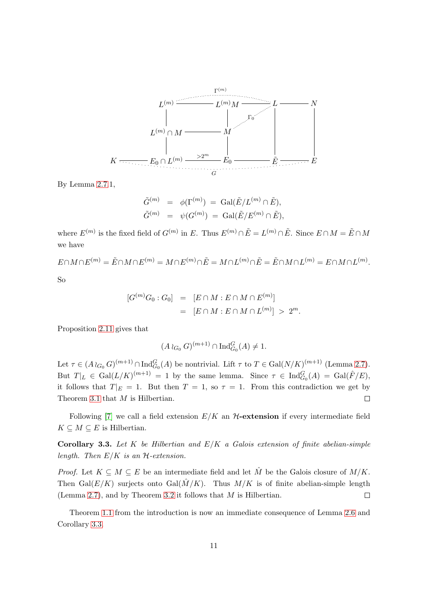

By Lemma [2.7.](#page-3-4)1,

$$
\begin{aligned}\n\tilde{G}^{(m)} &= \phi(\Gamma^{(m)}) = \text{Gal}(\tilde{E}/L^{(m)} \cap \tilde{E}), \\
\tilde{G}^{(m)} &= \psi(G^{(m)}) = \text{Gal}(\tilde{E}/E^{(m)} \cap \tilde{E}),\n\end{aligned}
$$

where  $E^{(m)}$  is the fixed field of  $G^{(m)}$  in E. Thus  $E^{(m)} \cap \tilde{E} = L^{(m)} \cap \tilde{E}$ . Since  $E \cap M = \tilde{E} \cap M$ we have

 $E \cap M \cap E^{(m)} = \tilde{E} \cap M \cap E^{(m)} = M \cap E^{(m)} \cap \tilde{E} = M \cap L^{(m)} \cap \tilde{E} = \tilde{E} \cap M \cap L^{(m)} = E \cap M \cap L^{(m)}$ . So

$$
[G^{(m)}G_0:G_0] = [E \cap M: E \cap M \cap E^{(m)}] = [E \cap M: E \cap M \cap L^{(m)}] > 2^m.
$$

Proposition [2.11](#page-5-0) gives that

$$
(A \wr_{G_0} G)^{(m+1)} \cap \mathrm{Ind}_{G_0}^G(A) \neq 1.
$$

Let  $\tau \in (A \wr_{G_0} G)^{(m+1)} \cap \text{Ind}_{G_0}^G(A)$  be nontrivial. Lift  $\tau$  to  $T \in \text{Gal}(N/K)^{(m+1)}$  (Lemma [2.7\)](#page-3-4). But  $T|_L \in \text{Gal}(L/K)^{(m+1)} = 1$  by the same lemma. Since  $\tau \in \text{Ind}_{G_0}^G(A) = \text{Gal}(\hat{F}/E)$ , it follows that  $T|_E = 1$ . But then  $T = 1$ , so  $\tau = 1$ . From this contradiction we get by Theorem [3.1](#page-8-1) that  $M$  is Hilbertian.  $\Box$ 

<span id="page-10-0"></span>Following [\[7\]](#page-16-1) we call a field extension  $E/K$  an  $H$ -extension if every intermediate field  $K \subseteq M \subseteq E$  is Hilbertian.

Corollary 3.3. Let K be Hilbertian and  $E/K$  a Galois extension of finite abelian-simple length. Then  $E/K$  is an  $H$ -extension.

*Proof.* Let  $K \subseteq M \subseteq E$  be an intermediate field and let  $\hat{M}$  be the Galois closure of  $M/K$ . Then Gal( $E/K$ ) surjects onto Gal( $\hat{M}/K$ ). Thus  $M/K$  is of finite abelian-simple length (Lemma [2.7\)](#page-3-4), and by Theorem [3.2](#page-9-0) it follows that M is Hilbertian.  $\Box$ 

Theorem [1.1](#page-0-0) from the introduction is now an immediate consequence of Lemma [2.6](#page-3-5) and Corollary [3.3.](#page-10-0)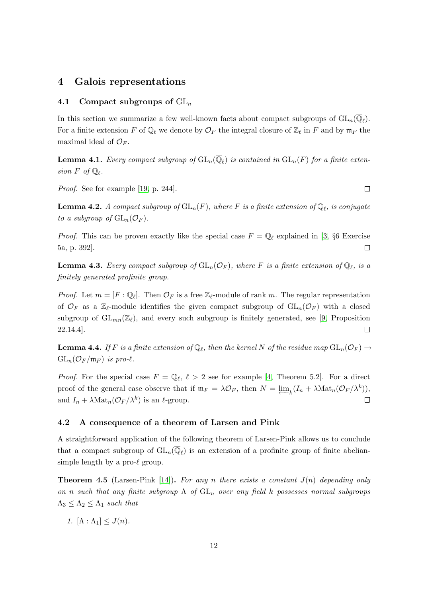### 4 Galois representations

### 4.1 Compact subgroups of  $GL_n$

<span id="page-11-2"></span>In this section we summarize a few well-known facts about compact subgroups of  $GL_n(\mathbb{Q}_\ell)$ . For a finite extension F of  $\mathbb{Q}_\ell$  we denote by  $\mathcal{O}_F$  the integral closure of  $\mathbb{Z}_\ell$  in F and by  $\mathfrak{m}_F$  the maximal ideal of  $\mathcal{O}_F$ .

**Lemma 4.1.** Every compact subgroup of  $\text{GL}_n(\mathbb{Q}_\ell)$  is contained in  $\text{GL}_n(F)$  for a finite extension  $F$  of  $\mathbb{Q}_{\ell}$ .

<span id="page-11-3"></span>Proof. See for example [\[19,](#page-17-11) p. 244].

 ${\bf Lemma~4.2.}$  A compact subgroup of  ${\rm GL}_n(F),$  where  $F$  is a finite extension of  ${\mathbb Q}_\ell,$  is conjugate to a subgroup of  $GL_n(\mathcal{O}_F)$ .

*Proof.* This can be proven exactly like the special case  $F = \mathbb{Q}_{\ell}$  explained in [\[3,](#page-16-2) §6 Exercise 5a, p. 392].  $\Box$ 

<span id="page-11-4"></span>**Lemma 4.3.** Every compact subgroup of  $GL_n(\mathcal{O}_F)$ , where F is a finite extension of  $\mathbb{Q}_\ell$ , is a finitely generated profinite group.

*Proof.* Let  $m = [F : \mathbb{Q}_\ell]$ . Then  $\mathcal{O}_F$  is a free  $\mathbb{Z}_\ell$ -module of rank m. The regular representation of  $\mathcal{O}_F$  as a  $\mathbb{Z}_\ell$ -module identifies the given compact subgroup of  $GL_n(\mathcal{O}_F)$  with a closed subgroup of  $GL_{mn}(\mathbb{Z}_\ell)$ , and every such subgroup is finitely generated, see [\[9,](#page-17-0) Proposition 22.14.4].  $\Box$ 

<span id="page-11-0"></span>**Lemma 4.4.** If F is a finite extension of  $\mathbb{Q}_{\ell},$  then the kernel N of the residue map  $\mathrm{GL}_n(\mathcal{O}_F)\to$  $GL_n(\mathcal{O}_F/\mathfrak{m}_F)$  is pro- $\ell$ .

*Proof.* For the special case  $F = \mathbb{Q}_{\ell}, \ell > 2$  see for example [\[4,](#page-16-3) Theorem 5.2]. For a direct proof of the general case observe that if  $\mathfrak{m}_F = \lambda \mathcal{O}_F$ , then  $N = \underleftarrow{\lim}_k (I_n + \lambda \text{Mat}_n(\mathcal{O}_F/\lambda^k)),$ and  $I_n + \lambda \text{Mat}_n(\mathcal{O}_F/\lambda^k)$  is an  $\ell$ -group.  $\Box$ 

### 4.2 A consequence of a theorem of Larsen and Pink

A straightforward application of the following theorem of Larsen-Pink allows us to conclude that a compact subgroup of  $GL_n(\overline{\mathbb{Q}}_{\ell})$  is an extension of a profinite group of finite abeliansimple length by a pro- $\ell$  group.

<span id="page-11-1"></span>**Theorem 4.5** (Larsen-Pink [\[14\]](#page-17-9)). For any n there exists a constant  $J(n)$  depending only on n such that any finite subgroup  $\Lambda$  of  $GL_n$  over any field k possesses normal subgroups  $\Lambda_3 \leq \Lambda_2 \leq \Lambda_1$  such that

1.  $[\Lambda : \Lambda_1] \leq J(n)$ .

 $\Box$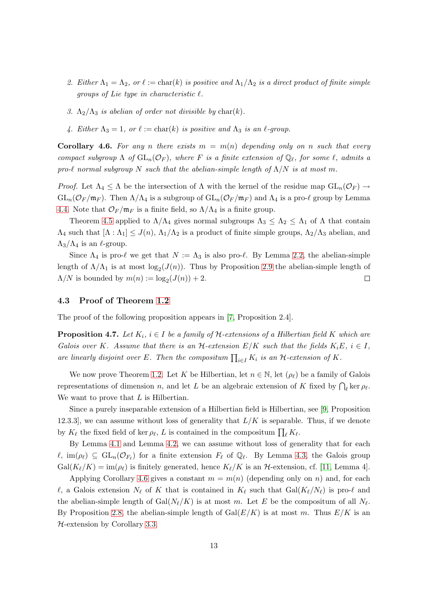- 2. Either  $\Lambda_1 = \Lambda_2$ , or  $\ell := \text{char}(k)$  is positive and  $\Lambda_1/\Lambda_2$  is a direct product of finite simple groups of Lie type in characteristic  $\ell$ .
- 3.  $\Lambda_2/\Lambda_3$  is abelian of order not divisible by char(k).
- 4. Either  $\Lambda_3 = 1$ , or  $\ell := \text{char}(k)$  is positive and  $\Lambda_3$  is an  $\ell$ -group.

<span id="page-12-1"></span>**Corollary 4.6.** For any n there exists  $m = m(n)$  depending only on n such that every compact subgroup  $\Lambda$  of  $GL_n(\mathcal{O}_F)$ , where F is a finite extension of  $\mathbb{Q}_\ell$ , for some  $\ell$ , admits a pro-ℓ normal subgroup N such that the abelian-simple length of  $\Lambda/N$  is at most m.

Proof. Let  $\Lambda_4 \leq \Lambda$  be the intersection of  $\Lambda$  with the kernel of the residue map  $GL_n(\mathcal{O}_F) \to$  $GL_n(\mathcal{O}_F/\mathfrak{m}_F)$ . Then  $\Lambda/\Lambda_4$  is a subgroup of  $GL_n(\mathcal{O}_F/\mathfrak{m}_F)$  and  $\Lambda_4$  is a pro- $\ell$  group by Lemma [4.4.](#page-11-0) Note that  $\mathcal{O}_F/\mathfrak{m}_F$  is a finite field, so  $\Lambda/\Lambda_4$  is a finite group.

Theorem [4.5](#page-11-1) applied to  $\Lambda/\Lambda_4$  gives normal subgroups  $\Lambda_3 \leq \Lambda_2 \leq \Lambda_1$  of  $\Lambda$  that contain  $\Lambda_4$  such that  $[\Lambda : \Lambda_1] \leq J(n)$ ,  $\Lambda_1/\Lambda_2$  is a product of finite simple groups,  $\Lambda_2/\Lambda_3$  abelian, and  $\Lambda_3/\Lambda_4$  is an  $\ell$ -group.

Since  $\Lambda_4$  is pro- $\ell$  we get that  $N := \Lambda_3$  is also pro- $\ell$ . By Lemma [2.2,](#page-2-4) the abelian-simple length of  $\Lambda/\Lambda_1$  is at most  $\log_2(J(n))$ . Thus by Proposition [2.9](#page-4-1) the abelian-simple length of  $\Lambda/N$  is bounded by  $m(n) := \log_2(J(n)) + 2$ .  $\Box$ 

### <span id="page-12-0"></span>4.3 Proof of Theorem [1.2](#page-1-0)

<span id="page-12-2"></span>The proof of the following proposition appears in [\[7,](#page-16-1) Proposition 2.4].

**Proposition 4.7.** Let  $K_i$ ,  $i \in I$  be a family of  $H$ -extensions of a Hilbertian field K which are Galois over K. Assume that there is an  $\mathcal{H}$ -extension  $E/K$  such that the fields  $K_iE, i \in I$ , are linearly disjoint over E. Then the compositum  $\prod_{i\in I} K_i$  is an  $\mathcal H$ -extension of K.

We now prove Theorem [1.2.](#page-1-0) Let K be Hilbertian, let  $n \in \mathbb{N}$ , let  $(\rho_{\ell})$  be a family of Galois representations of dimension n, and let L be an algebraic extension of K fixed by  $\bigcap_{\ell}$  ker  $\rho_{\ell}$ . We want to prove that L is Hilbertian.

Since a purely inseparable extension of a Hilbertian field is Hilbertian, see [\[9,](#page-17-0) Proposition 12.3.3, we can assume without loss of generality that  $L/K$  is separable. Thus, if we denote by  $K_{\ell}$  the fixed field of ker  $\rho_{\ell}$ , L is contained in the compositum  $\prod_{\ell} K_{\ell}$ .

By Lemma [4.1](#page-11-2) and Lemma [4.2,](#page-11-3) we can assume without loss of generality that for each  $\ell, \, \text{im}(\rho_\ell) \subseteq GL_n(\mathcal{O}_{F_\ell})$  for a finite extension  $F_\ell$  of  $\mathbb{Q}_\ell$ . By Lemma [4.3,](#page-11-4) the Galois group  $Gal(K_{\ell}/K) = im(\rho_{\ell})$  is finitely generated, hence  $K_{\ell}/K$  is an  $H$ -extension, cf. [\[11,](#page-17-8) Lemma 4].

Applying Corollary [4.6](#page-12-1) gives a constant  $m = m(n)$  (depending only on n) and, for each  $\ell$ , a Galois extension  $N_{\ell}$  of K that is contained in  $K_{\ell}$  such that  $Gal(K_{\ell}/N_{\ell})$  is pro- $\ell$  and the abelian-simple length of  $Gal(N_{\ell}/K)$  is at most m. Let E be the compositum of all  $N_{\ell}$ . By Proposition [2.8,](#page-4-2) the abelian-simple length of  $Gal(E/K)$  is at most m. Thus  $E/K$  is an H-extension by Corollary [3.3.](#page-10-0)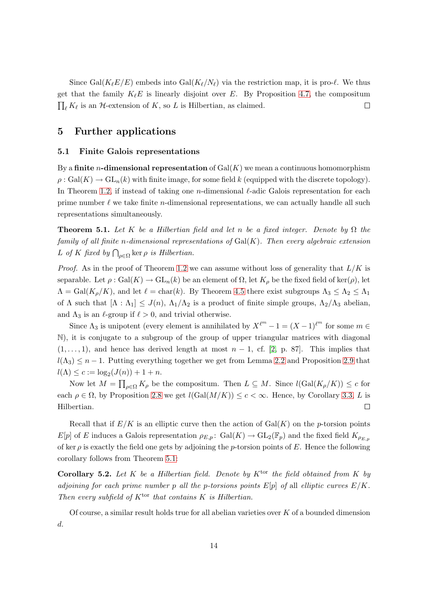Since Gal $(K_{\ell}E/E)$  embeds into Gal $(K_{\ell}/N_{\ell})$  via the restriction map, it is pro- $\ell$ . We thus get that the family  $K_{\ell}E$  is linearly disjoint over E. By Proposition [4.7,](#page-12-2) the compositum  $\prod_{\ell} K_{\ell}$  is an  $\mathcal{H}$ -extension of K, so L is Hilbertian, as claimed.  $\Box$ 

# <span id="page-13-2"></span><span id="page-13-0"></span>5 Further applications

### 5.1 Finite Galois representations

By a finite *n*-dimensional representation of  $Gal(K)$  we mean a continuous homomorphism  $\rho: \text{Gal}(K) \to \text{GL}_n(k)$  with finite image, for some field k (equipped with the discrete topology). In Theorem [1.2,](#page-1-0) if instead of taking one n-dimensional  $\ell$ -adic Galois representation for each prime number  $\ell$  we take finite *n*-dimensional representations, we can actually handle all such representations simultaneously.

<span id="page-13-1"></span>**Theorem 5.1.** Let K be a Hilbertian field and let n be a fixed integer. Denote by  $\Omega$  the family of all finite n-dimensional representations of  $Gal(K)$ . Then every algebraic extension L of K fixed by  $\bigcap_{\rho \in \Omega} \ker \rho$  is Hilbertian.

*Proof.* As in the proof of Theorem [1.2](#page-1-0) we can assume without loss of generality that  $L/K$  is separable. Let  $\rho : \text{Gal}(K) \to \text{GL}_n(k)$  be an element of  $\Omega$ , let  $K_\rho$  be the fixed field of ker( $\rho$ ), let  $\Lambda = \text{Gal}(K_{\rho}/K)$ , and let  $\ell = \text{char}(k)$ . By Theorem [4.5](#page-11-1) there exist subgroups  $\Lambda_3 \leq \Lambda_2 \leq \Lambda_1$ of  $\Lambda$  such that  $[\Lambda : \Lambda_1] \leq J(n)$ ,  $\Lambda_1/\Lambda_2$  is a product of finite simple groups,  $\Lambda_2/\Lambda_3$  abelian, and  $\Lambda_3$  is an  $\ell$ -group if  $\ell > 0$ , and trivial otherwise.

Since  $\Lambda_3$  is unipotent (every element is annihilated by  $X^{\ell^m} - 1 = (X - 1)^{\ell^m}$  for some  $m \in$ N), it is conjugate to a subgroup of the group of upper triangular matrices with diagonal  $(1, \ldots, 1)$ , and hence has derived length at most  $n - 1$ , cf. [\[2,](#page-16-4) p. 87]. This implies that  $l(\Lambda_3) \leq n-1$ . Putting everything together we get from Lemma [2.2](#page-2-4) and Proposition [2.9](#page-4-1) that  $l(\Lambda) \leq c := \log_2(J(n)) + 1 + n.$ 

Now let  $M = \prod_{\rho \in \Omega} K_{\rho}$  be the compositum. Then  $L \subseteq M$ . Since  $l(\text{Gal}(K_{\rho}/K)) \leq c$  for each  $\rho \in \Omega$ , by Proposition [2.8](#page-4-2) we get  $l(Gal(M/K)) \leq c < \infty$ . Hence, by Corollary [3.3,](#page-10-0) L is Hilbertian. П

Recall that if  $E/K$  is an elliptic curve then the action of  $Gal(K)$  on the p-torsion points  $E[p]$  of E induces a Galois representation  $\rho_{E,p}$ : Gal $(K) \to GL_2(\mathbb{F}_p)$  and the fixed field  $K_{\rho_{E,p}}$ of ker  $\rho$  is exactly the field one gets by adjoining the p-torsion points of E. Hence the following corollary follows from Theorem [5.1:](#page-13-1)

Corollary 5.2. Let K be a Hilbertian field. Denote by  $K^{\text{tor}}$  the field obtained from K by adjoining for each prime number p all the p-torsions points  $E[p]$  of all elliptic curves  $E/K$ . Then every subfield of  $K^{\text{tor}}$  that contains K is Hilbertian.

Of course, a similar result holds true for all abelian varieties over  $K$  of a bounded dimension d.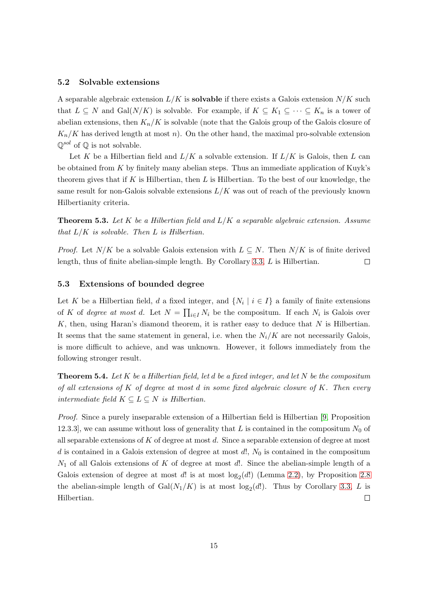### 5.2 Solvable extensions

A separable algebraic extension  $L/K$  is **solvable** if there exists a Galois extension  $N/K$  such that  $L \subseteq N$  and  $Gal(N/K)$  is solvable. For example, if  $K \subseteq K_1 \subseteq \cdots \subseteq K_n$  is a tower of abelian extensions, then  $K_n/K$  is solvable (note that the Galois group of the Galois closure of  $K_n/K$  has derived length at most n). On the other hand, the maximal pro-solvable extension  $\mathbb{O}^{sol}$  of  $\mathbb{O}$  is not solvable.

Let K be a Hilbertian field and  $L/K$  a solvable extension. If  $L/K$  is Galois, then L can be obtained from  $K$  by finitely many abelian steps. Thus an immediate application of Kuyk's theorem gives that if K is Hilbertian, then  $L$  is Hilbertian. To the best of our knowledge, the same result for non-Galois solvable extensions  $L/K$  was out of reach of the previously known Hilbertianity criteria.

**Theorem 5.3.** Let K be a Hilbertian field and  $L/K$  a separable algebraic extension. Assume that  $L/K$  is solvable. Then L is Hilbertian.

*Proof.* Let  $N/K$  be a solvable Galois extension with  $L \subseteq N$ . Then  $N/K$  is of finite derived length, thus of finite abelian-simple length. By Corollary [3.3,](#page-10-0) L is Hilbertian. □

#### 5.3 Extensions of bounded degree

Let K be a Hilbertian field, d a fixed integer, and  $\{N_i \mid i \in I\}$  a family of finite extensions of K of degree at most d. Let  $N = \prod_{i \in I} N_i$  be the compositum. If each  $N_i$  is Galois over  $K$ , then, using Haran's diamond theorem, it is rather easy to deduce that  $N$  is Hilbertian. It seems that the same statement in general, i.e. when the  $N_i/K$  are not necessarily Galois, is more difficult to achieve, and was unknown. However, it follows immediately from the following stronger result.

<span id="page-14-0"></span>**Theorem 5.4.** Let K be a Hilbertian field, let d be a fixed integer, and let N be the compositum of all extensions of  $K$  of degree at most d in some fixed algebraic closure of  $K$ . Then every intermediate field  $K \subseteq L \subseteq N$  is Hilbertian.

Proof. Since a purely inseparable extension of a Hilbertian field is Hilbertian [\[9,](#page-17-0) Proposition] 12.3.3, we can assume without loss of generality that L is contained in the compositum  $N_0$  of all separable extensions of  $K$  of degree at most  $d$ . Since a separable extension of degree at most d is contained in a Galois extension of degree at most  $d!$ ,  $N_0$  is contained in the compositum  $N_1$  of all Galois extensions of K of degree at most d!. Since the abelian-simple length of a Galois extension of degree at most  $d!$  is at most  $log_2(d!)$  (Lemma [2.2\)](#page-2-4), by Proposition [2.8](#page-4-2) the abelian-simple length of  $Gal(N_1/K)$  is at most  $log_2(d!)$ . Thus by Corollary [3.3,](#page-10-0) L is Hilbertian.  $\Box$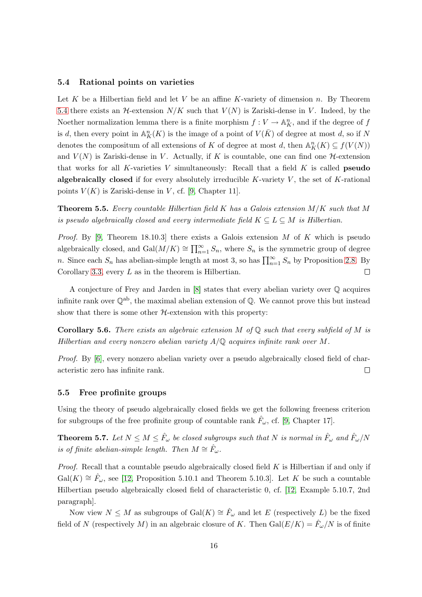### 5.4 Rational points on varieties

Let K be a Hilbertian field and let V be an affine K-variety of dimension  $n$ . By Theorem [5.4](#page-14-0) there exists an  $\mathcal{H}$ -extension  $N/K$  such that  $V(N)$  is Zariski-dense in V. Indeed, by the Noether normalization lemma there is a finite morphism  $f: V \to \mathbb{A}^n<sub>K</sub>$ , and if the degree of f is d, then every point in  $\mathbb{A}^n_K(K)$  is the image of a point of  $V(\bar{K})$  of degree at most d, so if N denotes the compositum of all extensions of K of degree at most  $d$ , then  $\mathbb{A}_K^n(K) \subseteq f(V(N))$ and  $V(N)$  is Zariski-dense in V. Actually, if K is countable, one can find one  $H$ -extension that works for all K-varieties V simultaneously: Recall that a field  $K$  is called **pseudo** algebraically closed if for every absolutely irreducible K-variety  $V$ , the set of K-rational points  $V(K)$  is Zariski-dense in V, cf. [\[9,](#page-17-0) Chapter 11].

**Theorem 5.5.** Every countable Hilbertian field K has a Galois extension  $M/K$  such that M is pseudo algebraically closed and every intermediate field  $K \subseteq L \subseteq M$  is Hilbertian.

*Proof.* By [\[9,](#page-17-0) Theorem 18.10.3] there exists a Galois extension M of K which is pseudo algebraically closed, and  $Gal(M/K) \cong \prod_{n=1}^{\infty} S_n$ , where  $S_n$  is the symmetric group of degree n. Since each  $S_n$  has abelian-simple length at most 3, so has  $\prod_{n=1}^{\infty} S_n$  by Proposition [2.8.](#page-4-2) By Corollary [3.3,](#page-10-0) every  $L$  as in the theorem is Hilbertian.  $\Box$ 

A conjecture of Frey and Jarden in [\[8\]](#page-17-12) states that every abelian variety over Q acquires infinite rank over  $\mathbb{Q}^{ab}$ , the maximal abelian extension of  $\mathbb{Q}$ . We cannot prove this but instead show that there is some other  $H$ -extension with this property:

**Corollary 5.6.** There exists an algebraic extension M of  $\mathbb{Q}$  such that every subfield of M is Hilbertian and every nonzero abelian variety  $A/\mathbb{Q}$  acquires infinite rank over M.

Proof. By [\[6\]](#page-16-5), every nonzero abelian variety over a pseudo algebraically closed field of characteristic zero has infinite rank.  $\Box$ 

### 5.5 Free profinite groups

<span id="page-15-0"></span>Using the theory of pseudo algebraically closed fields we get the following freeness criterion for subgroups of the free profinite group of countable rank  $\hat{F}_{\omega}$ , cf. [\[9,](#page-17-0) Chapter 17].

**Theorem 5.7.** Let  $N \leq M \leq \hat{F}_{\omega}$  be closed subgroups such that N is normal in  $\hat{F}_{\omega}$  and  $\hat{F}_{\omega}/N$ is of finite abelian-simple length. Then  $M \cong \hat{F}_{\omega}$ .

Proof. Recall that a countable pseudo algebraically closed field K is Hilbertian if and only if Gal(K)  $\cong \hat{F}_{\omega}$ , see [\[12,](#page-17-13) Proposition 5.10.1 and Theorem 5.10.3]. Let K be such a countable Hilbertian pseudo algebraically closed field of characteristic 0, cf. [\[12,](#page-17-13) Example 5.10.7, 2nd paragraph].

Now view  $N \leq M$  as subgroups of  $Gal(K) \cong \hat{F}_{\omega}$  and let E (respectively L) be the fixed field of N (respectively M) in an algebraic closure of K. Then  $Gal(E/K) = \hat{F}_{\omega}/N$  is of finite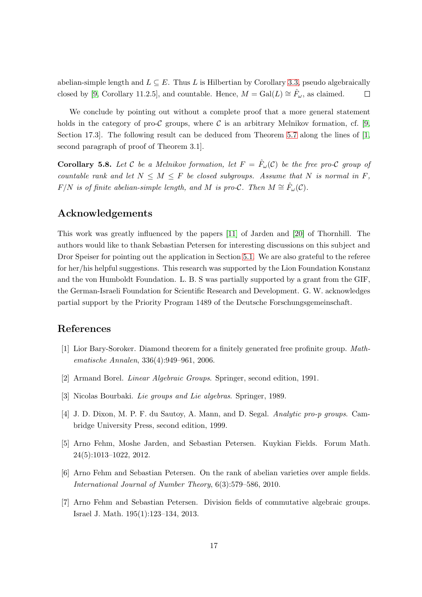abelian-simple length and  $L \subseteq E$ . Thus L is Hilbertian by Corollary [3.3,](#page-10-0) pseudo algebraically closed by [\[9,](#page-17-0) Corollary 11.2.5], and countable. Hence,  $M = \text{Gal}(L) \cong \hat{F}_{\omega}$ , as claimed.  $\Box$ 

We conclude by pointing out without a complete proof that a more general statement holds in the category of pro-C groups, where C is an arbitrary Melnikov formation, cf. [\[9,](#page-17-0) Section 17.3]. The following result can be deduced from Theorem [5.7](#page-15-0) along the lines of [\[1,](#page-16-6) second paragraph of proof of Theorem 3.1].

**Corollary 5.8.** Let C be a Melnikov formation, let  $F = \hat{F}_{\omega}(\mathcal{C})$  be the free pro-C group of countable rank and let  $N \leq M \leq F$  be closed subgroups. Assume that N is normal in F,  $F/N$  is of finite abelian-simple length, and M is pro- $\mathcal{C}$ . Then  $M \cong \hat{F}_{\omega}(\mathcal{C})$ .

# Acknowledgements

This work was greatly influenced by the papers [\[11\]](#page-17-8) of Jarden and [\[20\]](#page-17-7) of Thornhill. The authors would like to thank Sebastian Petersen for interesting discussions on this subject and Dror Speiser for pointing out the application in Section [5.1.](#page-13-2) We are also grateful to the referee for her/his helpful suggestions. This research was supported by the Lion Foundation Konstanz and the von Humboldt Foundation. L. B. S was partially supported by a grant from the GIF, the German-Israeli Foundation for Scientific Research and Development. G. W. acknowledges partial support by the Priority Program 1489 of the Deutsche Forschungsgemeinschaft.

# <span id="page-16-6"></span>References

- <span id="page-16-4"></span>[1] Lior Bary-Soroker. Diamond theorem for a finitely generated free profinite group. Mathematische Annalen, 336(4):949–961, 2006.
- <span id="page-16-2"></span>[2] Armand Borel. Linear Algebraic Groups. Springer, second edition, 1991.
- <span id="page-16-3"></span>[3] Nicolas Bourbaki. Lie groups and Lie algebras. Springer, 1989.
- <span id="page-16-0"></span>[4] J. D. Dixon, M. P. F. du Sautoy, A. Mann, and D. Segal. Analytic pro-p groups. Cambridge University Press, second edition, 1999.
- <span id="page-16-5"></span>[5] Arno Fehm, Moshe Jarden, and Sebastian Petersen. Kuykian Fields. Forum Math. 24(5):1013–1022, 2012.
- <span id="page-16-1"></span>[6] Arno Fehm and Sebastian Petersen. On the rank of abelian varieties over ample fields. International Journal of Number Theory, 6(3):579–586, 2010.
- [7] Arno Fehm and Sebastian Petersen. Division fields of commutative algebraic groups. Israel J. Math. 195(1):123–134, 2013.